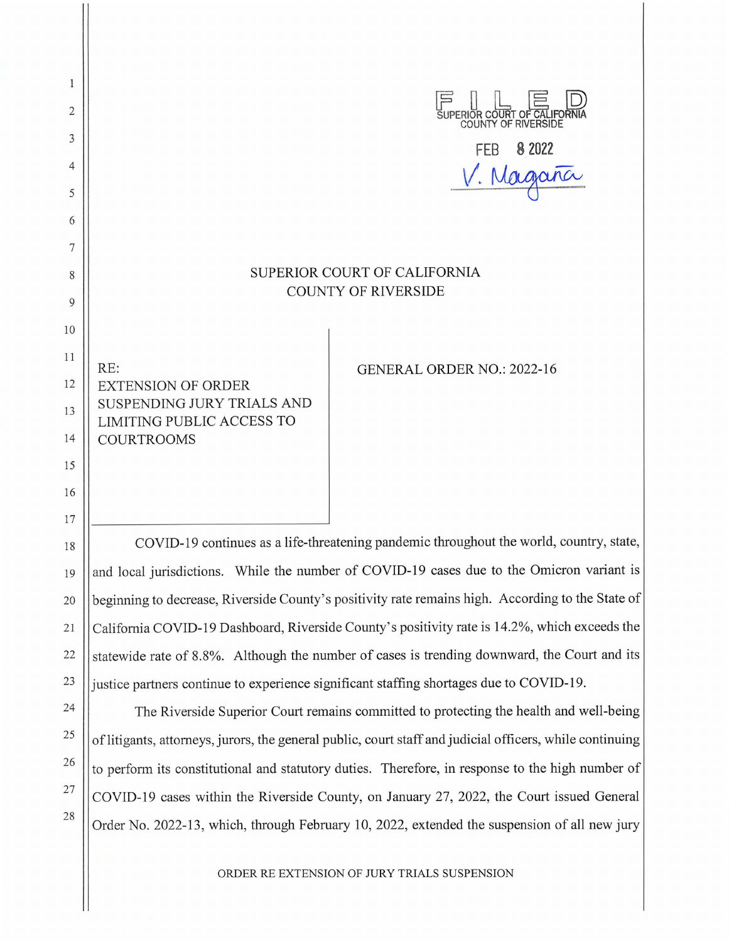$\mathbf{1}$  $\begin{array}{ll}\n\boxed{=} & || & ||_+ & \boxed{=} & ||_-\n\end{array}$ <br>
SUPERIOR COUNTY OF RIVERSIDE 2 3 **FEB 8 2022**  *v.~*  4 5 6 7 SUPERIOR COURT OF CALIFORNIA 8 COUNTY OF RIVERSIDE 9 10 11 RE: GENERAL ORDER NO.: 2022-16 12 || EXTENSION OF ORDER SUSPENDING JURY TRIALS AND 13 LIMITING PUBLIC ACCESS TO 14 COURTROOMS 15 16 17

COVID-19 continues as a life-threatening pandemic throughout the world, country, state, and local jurisdictions. While the number of COVID-19 cases due to the Omicron variant is beginning to decrease, Riverside County's positivity rate remains high. According to the State of California COVID-19 Dashboard, Riverside County's positivity rate is 14.2%, which exceeds the statewide rate of 8.8%. Although the number of cases is trending downward, the Court and its justice partners continue to experience significant staffing shortages due to COVID-19.

18

19

20

21

22

23

24

25

26

27

28

The Riverside Superior Court remains committed to protecting the health and well-being of litigants, attorneys, jurors, the general public, court staff and judicial officers, while continuing to perform its constitutional and statutory duties. Therefore, in response to the high number of COVID-19 cases within the Riverside County, on January 27, 2022, the Court issued General Order No. 2022-13, which, through February 10, 2022, extended the suspension of all new jury

ORDER RE EXTENSION OF illRY TRIALS SUSPENSION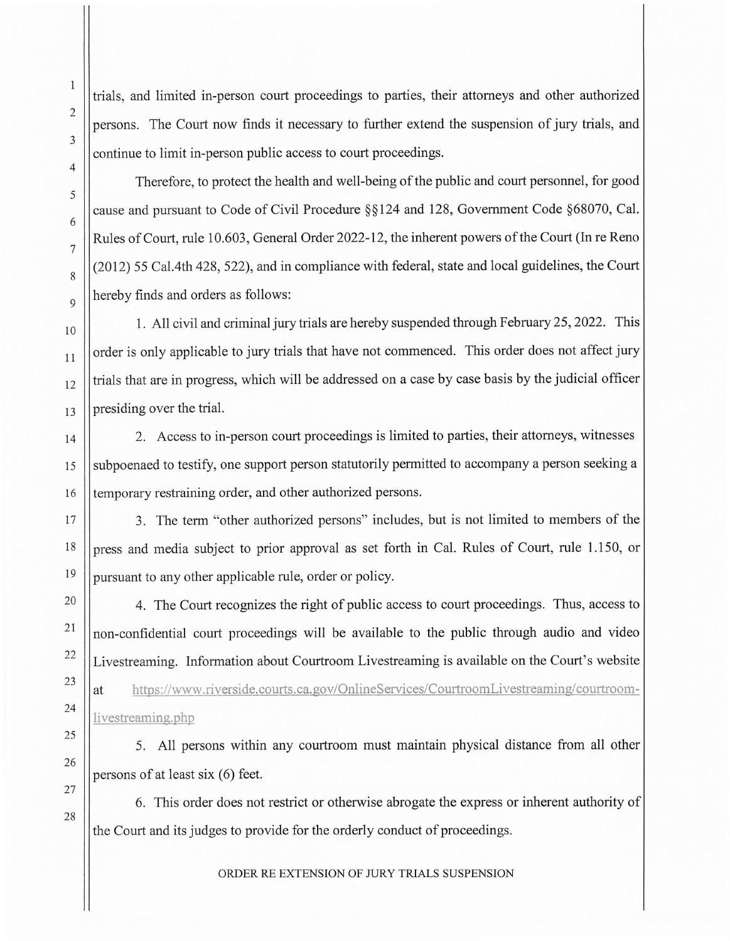trials, and limited in-person court proceedings to parties, their attorneys and other authorized persons. The Court now finds it necessary to further extend the suspension of jury trials, and continue to limit in-person public access to court proceedings.

Therefore, to protect the health and well-being of the public and court personnel, for good cause and pursuant to Code of Civil Procedure§§ 124 and 128, Government Code §68070, Cal. Rules of Court, rule 10.603, General Order 2022-12, the inherent powers of the Court (In re Reno (2012) 55 Cal.4th 428, 522), and in compliance with federal, state and local guidelines, the Court hereby finds and orders as follows:

1. All civil and criminal jury trials are hereby suspended through February 25, 2022. This order is only applicable to jury trials that have not commenced. This order does not affect jury trials that are in progress, which will be addressed on a case by case basis by the judicial officer presiding over the trial.

2. Access to in-person court proceedings is limited to parties, their attorneys, witnesses subpoenaed to testify, one support person statutorily permitted to accompany a person seeking a temporary restraining order, and other authorized persons.

3. The term "other authorized persons" includes, but is not limited to members of the press and media subject to prior approval as set forth in Cal. Rules of Court, rule 1.150, or pursuant to any other applicable rule, order or policy.

4. The Court recognizes the right of public access to court proceedings. Thus, access to non-confidential court proceedings will be available to the public through audio and video Livestreaming. Information about Courtroom Livestreaming is available on the Court's website at https://www.riverside.courts.ca.gov/OnlineServices/CourtroomLivestreaming/courtroomlivestreaming.php

5. All persons within any courtroom must maintain physical distance from all other persons of at least six  $(6)$  feet.

6. This order does not restrict or otherwise abrogate the express or inherent authority of the Court and its judges to provide for the orderly conduct of proceedings.

ORDER RE EXTENSION OF *WRY* TRIALS SUSPENSION